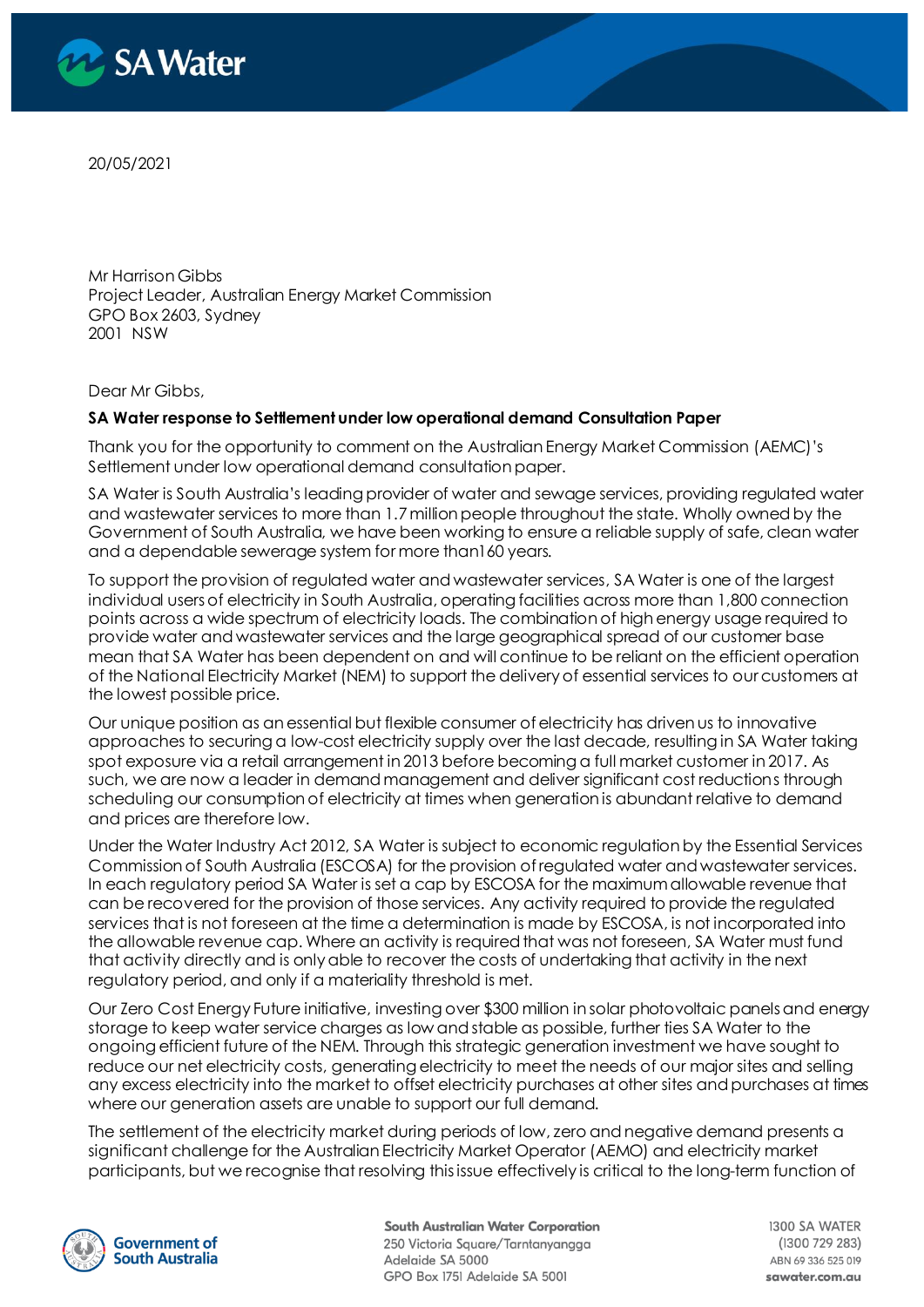

20/05/2021

Mr Harrison Gibbs Project Leader, Australian Energy Market Commission GPO Box 2603, Sydney 2001 NSW

Dear Mr Gibbs,

#### **SA Water response to Settlement under low operational demand Consultation Paper**

Thank you for the opportunity to comment on the Australian Energy Market Commission (AEMC)'s Settlement under low operational demand consultation paper.

SA Water is South Australia's leading provider of water and sewage services, providing regulated water and wastewater services to more than 1.7 million people throughout the state. Wholly owned by the Government of South Australia, we have been working to ensure a reliable supply of safe, clean water and a dependable sewerage system for more than160 years.

To support the provision of regulated water and wastewater services, SA Water is one of the largest individual users of electricity in South Australia, operating facilities across more than 1,800 connection points across a wide spectrum of electricity loads. The combination of high energy usage required to provide water and wastewater services and the large geographical spread of our customer base mean that SA Water has been dependent on and will continue to be reliant on the efficient operation of the National Electricity Market (NEM) to support the delivery of essential services to our customers at the lowest possible price.

Our unique position as an essential but flexible consumer of electricity has driven us to innovative approaches to securing a low-cost electricity supply over the last decade, resulting in SA Water taking spot exposure via a retail arrangement in 2013 before becoming a full market customer in 2017. As such, we are now a leader in demand management and deliver significant cost reductions through scheduling our consumption of electricity at times when generation is abundant relative to demand and prices are therefore low.

Under the Water Industry Act 2012, SA Water is subject to economic regulation by the Essential Services Commission of South Australia (ESCOSA) for the provision of regulated water and wastewater services. In each regulatory period SA Water is set a cap by ESCOSA for the maximum allowable revenue that can be recovered for the provision of those services. Any activity required to provide the regulated services that is not foreseen at the time a determination is made by ESCOSA, is not incorporated into the allowable revenue cap. Where an activity is required that was not foreseen, SA Water must fund that activity directly and is only able to recover the costs of undertaking that activity in the next regulatory period, and only if a materiality threshold is met.

Our Zero Cost Energy Future initiative, investing over \$300 million in solar photovoltaic panels and energy storage to keep water service charges as low and stable as possible, further ties SA Water to the ongoing efficient future of the NEM. Through this strategic generation investment we have sought to reduce our net electricity costs, generating electricity to meet the needs of our major sites and selling any excess electricity into the market to offset electricity purchases at other sites and purchases at times where our generation assets are unable to support our full demand.

The settlement of the electricity market during periods of low, zero and negative demand presents a significant challenge for the Australian Electricity Market Operator (AEMO) and electricity market participants, but we recognise that resolving this issue effectively is critical to the long-term function of



**South Australian Water Corporation** 250 Victoria Square/Tarntanyangga Adelaide SA 5000 GPO Box 1751 Adelaide SA 5001

1300 SA WATER (1300 729 283) ABN 69 336 525 019 sawater.com.au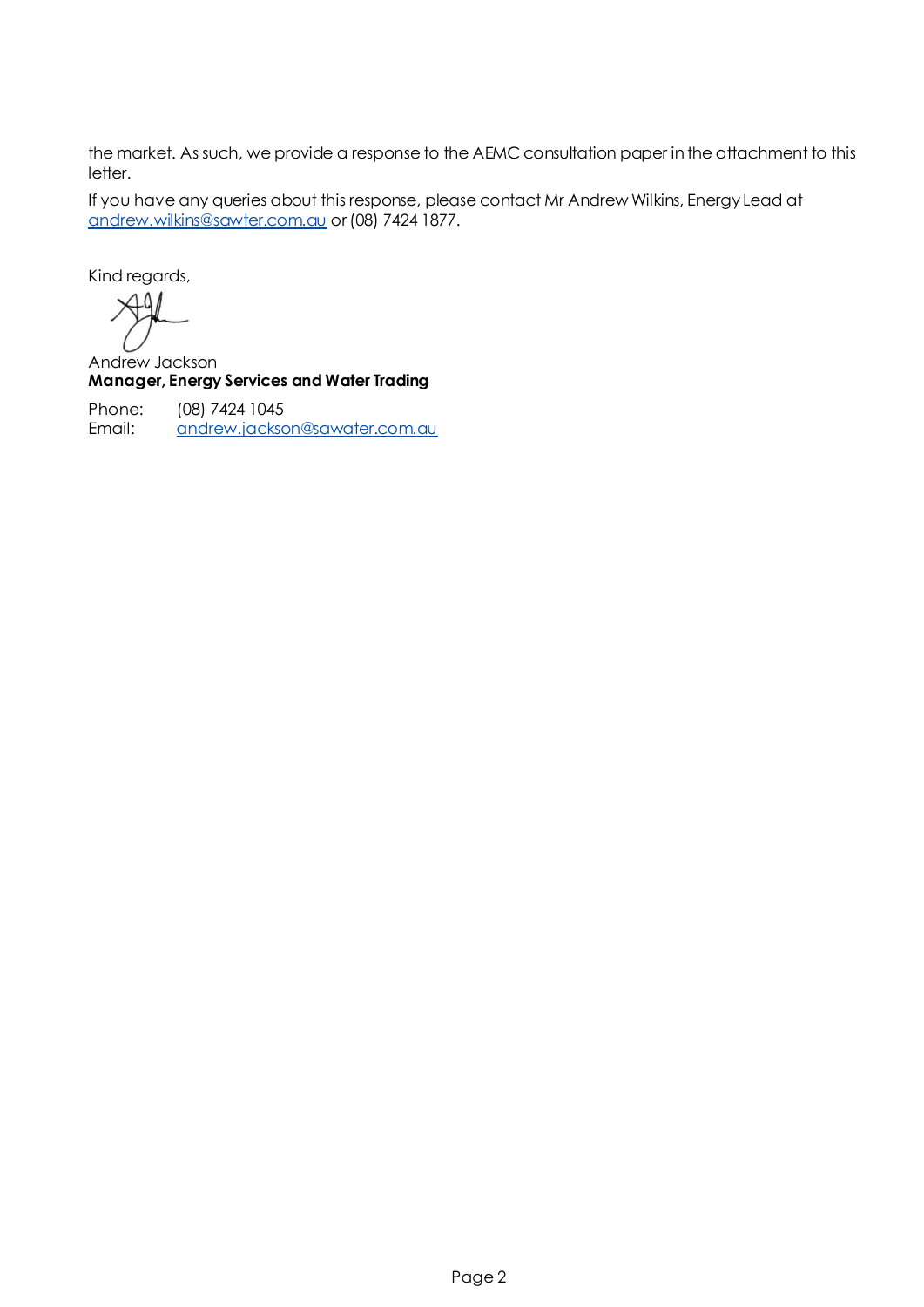the market. As such, we provide a response to the AEMC consultation paper in the attachment to this letter.

If you have any queries about this response, please contact Mr Andrew Wilkins, Energy Lead at [andrew.wilkins@sawter.com.au](mailto:andrew.wilkins@sawter.com.au) or (08) 7424 1877.

Kind regards,

 $49/$  $\rightarrow$ 

Andrew Jackson **Manager, Energy Services and Water Trading**

Phone: (08) 7424 1045 Email: [andrew.jackson@sawater.com.au](mailto:andrew.jackson@sawater.com.au)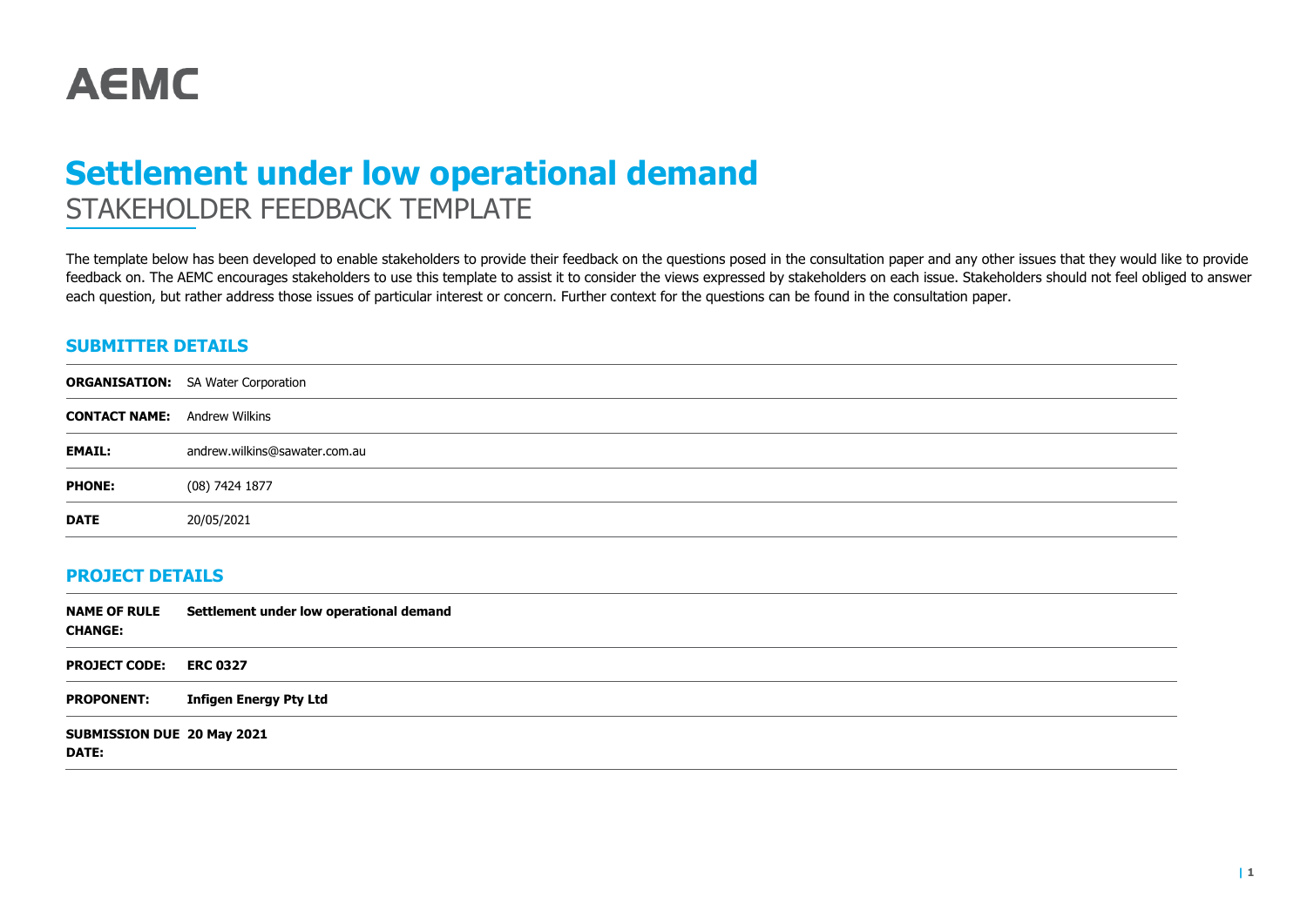

# **Settlement under low operational demand** STAKEHOLDER FEEDBACK TEMPLATE

The template below has been developed to enable stakeholders to provide their feedback on the questions posed in the consultation paper and any other issues that they would like to provide feedback on. The AEMC encourages stakeholders to use this template to assist it to consider the views expressed by stakeholders on each issue. Stakeholders should not feel obliged to answer each question, but rather address those issues of particular interest or concern. Further context for the questions can be found in the consultation paper.

### **SUBMITTER DETAILS**

|                                     | <b>ORGANISATION:</b> SA Water Corporation |
|-------------------------------------|-------------------------------------------|
| <b>CONTACT NAME:</b> Andrew Wilkins |                                           |
| <b>EMAIL:</b>                       | andrew.wilkins@sawater.com.au             |
| <b>PHONE:</b>                       | (08) 7424 1877                            |
| <b>DATE</b>                         | 20/05/2021                                |

#### **PROJECT DETAILS**

| <b>NAME OF RULE</b><br><b>CHANGE:</b>      | Settlement under low operational demand |
|--------------------------------------------|-----------------------------------------|
| <b>PROJECT CODE:</b>                       | <b>ERC 0327</b>                         |
| <b>PROPONENT:</b>                          | Infigen Energy Pty Ltd                  |
| SUBMISSION DUE 20 May 2021<br><b>DATE:</b> |                                         |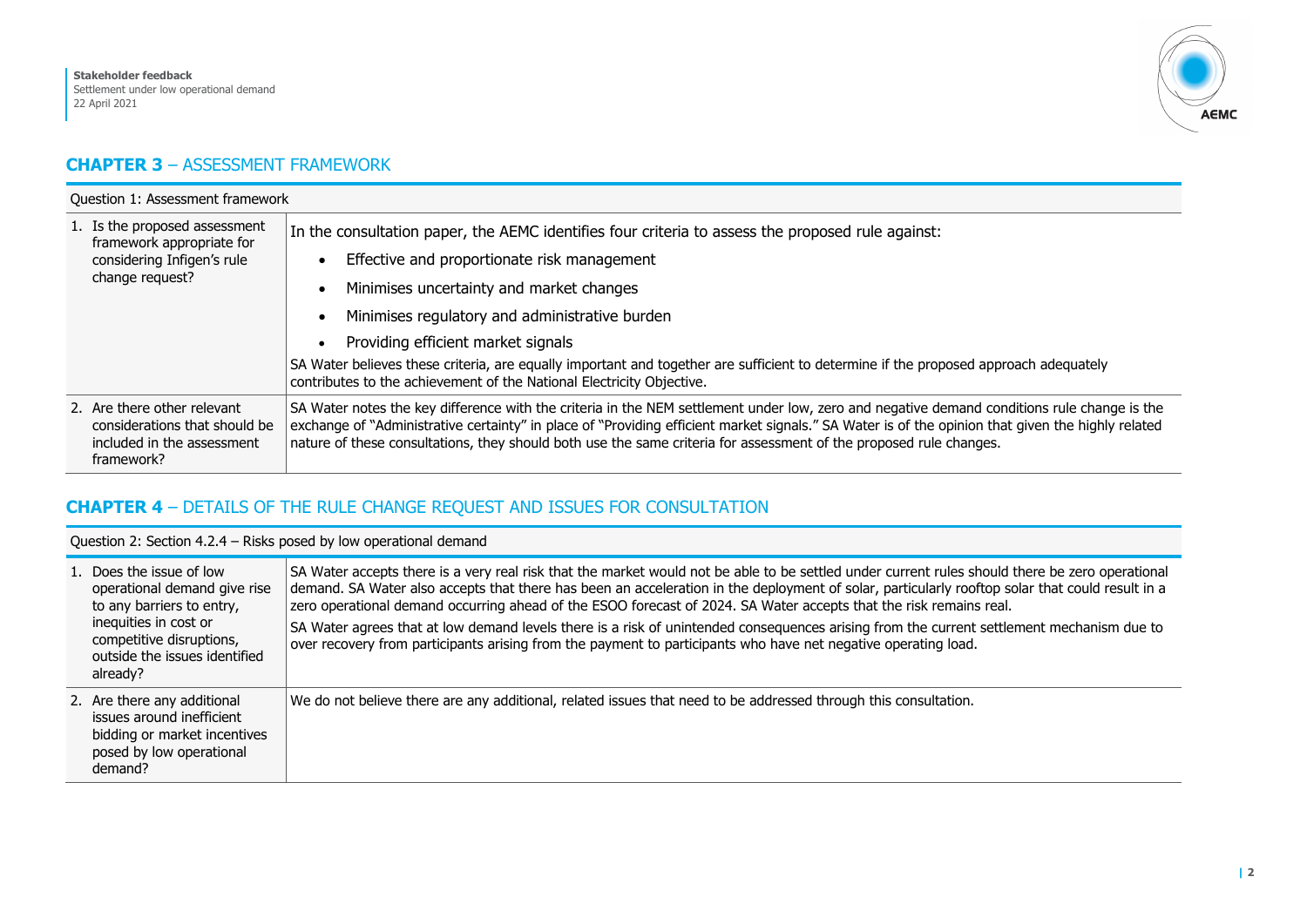

## **CHAPTER 3** – ASSESSMENT FRAMEWORK

| Question 1: Assessment framework                                                                            |                                                                                                                                                                                                                                                                                                                                                                                                                                                                                                       |  |
|-------------------------------------------------------------------------------------------------------------|-------------------------------------------------------------------------------------------------------------------------------------------------------------------------------------------------------------------------------------------------------------------------------------------------------------------------------------------------------------------------------------------------------------------------------------------------------------------------------------------------------|--|
| 1. Is the proposed assessment<br>framework appropriate for<br>considering Infigen's rule<br>change request? | In the consultation paper, the AEMC identifies four criteria to assess the proposed rule against:<br>Effective and proportionate risk management<br>Minimises uncertainty and market changes<br>Minimises regulatory and administrative burden<br>Providing efficient market signals<br>SA Water believes these criteria, are equally important and together are sufficient to determine if the proposed approach adequately<br>contributes to the achievement of the National Electricity Objective. |  |
| 2. Are there other relevant<br>considerations that should be<br>included in the assessment<br>framework?    | SA Water notes the key difference with the criteria in the NEM settlement under low, zero and negative demand conditions rule change is the<br>exchange of "Administrative certainty" in place of "Providing efficient market signals." SA Water is of the opinion that given the highly related<br>nature of these consultations, they should both use the same criteria for assessment of the proposed rule changes.                                                                                |  |

## **CHAPTER 4** – DETAILS OF THE RULE CHANGE REQUEST AND ISSUES FOR CONSULTATION

Question 2: Section 4.2.4 – Risks posed by low operational demand

| 1. Does the issue of low<br>operational demand give rise<br>to any barriers to entry,<br>inequities in cost or<br>competitive disruptions,<br>outside the issues identified<br>already? | SA Water accepts there is a very real risk that the market would not be able to be settled under current rules should there be zero operational<br>demand. SA Water also accepts that there has been an acceleration in the deployment of solar, particularly rooftop solar that could result in a<br>zero operational demand occurring ahead of the ESOO forecast of 2024. SA Water accepts that the risk remains real.<br>SA Water agrees that at low demand levels there is a risk of unintended consequences arising from the current settlement mechanism due to<br>over recovery from participants arising from the payment to participants who have net negative operating load. |
|-----------------------------------------------------------------------------------------------------------------------------------------------------------------------------------------|-----------------------------------------------------------------------------------------------------------------------------------------------------------------------------------------------------------------------------------------------------------------------------------------------------------------------------------------------------------------------------------------------------------------------------------------------------------------------------------------------------------------------------------------------------------------------------------------------------------------------------------------------------------------------------------------|
| 2. Are there any additional<br>issues around inefficient<br>bidding or market incentives<br>posed by low operational<br>demand?                                                         | We do not believe there are any additional, related issues that need to be addressed through this consultation.                                                                                                                                                                                                                                                                                                                                                                                                                                                                                                                                                                         |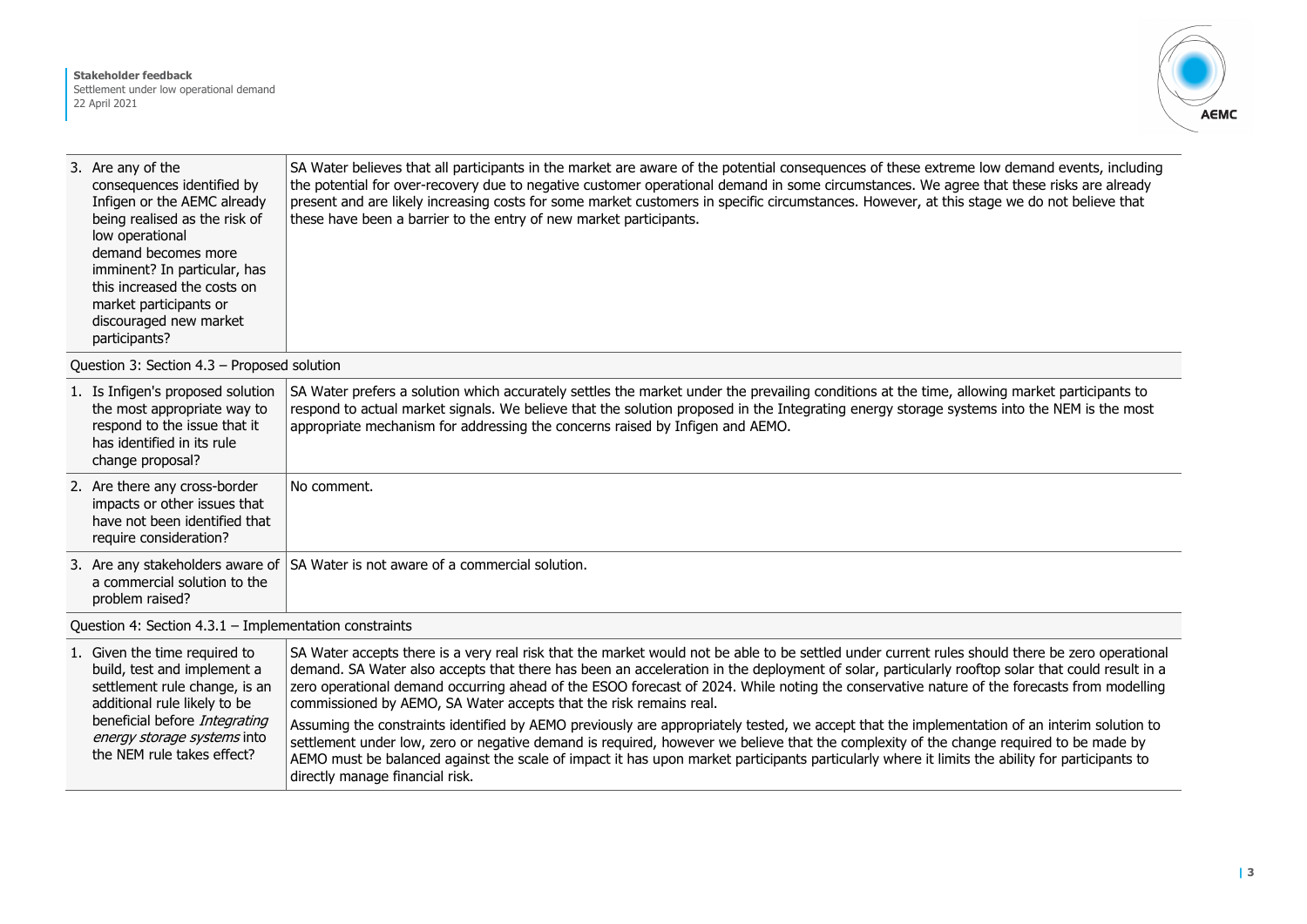

| 3. Are any of the<br>consequences identified by<br>Infigen or the AEMC already<br>being realised as the risk of<br>low operational<br>demand becomes more<br>imminent? In particular, has<br>this increased the costs on<br>market participants or<br>discouraged new market<br>participants? | SA Water believes that all participants in the market are aware of the potential consequences of these extreme low demand events, including<br>the potential for over-recovery due to negative customer operational demand in some circumstances. We agree that these risks are already<br>present and are likely increasing costs for some market customers in specific circumstances. However, at this stage we do not believe that<br>these have been a barrier to the entry of new market participants. |
|-----------------------------------------------------------------------------------------------------------------------------------------------------------------------------------------------------------------------------------------------------------------------------------------------|-------------------------------------------------------------------------------------------------------------------------------------------------------------------------------------------------------------------------------------------------------------------------------------------------------------------------------------------------------------------------------------------------------------------------------------------------------------------------------------------------------------|
|-----------------------------------------------------------------------------------------------------------------------------------------------------------------------------------------------------------------------------------------------------------------------------------------------|-------------------------------------------------------------------------------------------------------------------------------------------------------------------------------------------------------------------------------------------------------------------------------------------------------------------------------------------------------------------------------------------------------------------------------------------------------------------------------------------------------------|

Question 3: Section 4.3 – Proposed solution

|                                                          | 1. Is Infigen's proposed solution<br>the most appropriate way to<br>respond to the issue that it<br>has identified in its rule<br>change proposal? | SA Water prefers a solution which accurately settles the market under the prevailing conditions at the time, allowing market participants to<br>respond to actual market signals. We believe that the solution proposed in the Integrating energy storage systems into the NEM is the most<br>appropriate mechanism for addressing the concerns raised by Infigen and AEMO.          |
|----------------------------------------------------------|----------------------------------------------------------------------------------------------------------------------------------------------------|--------------------------------------------------------------------------------------------------------------------------------------------------------------------------------------------------------------------------------------------------------------------------------------------------------------------------------------------------------------------------------------|
|                                                          | 2. Are there any cross-border<br>impacts or other issues that<br>have not been identified that<br>require consideration?                           | No comment.                                                                                                                                                                                                                                                                                                                                                                          |
|                                                          | a commercial solution to the<br>problem raised?                                                                                                    | 3. Are any stakeholders aware of SA Water is not aware of a commercial solution.                                                                                                                                                                                                                                                                                                     |
| Question 4: Section $4.3.1$ – Implementation constraints |                                                                                                                                                    |                                                                                                                                                                                                                                                                                                                                                                                      |
|                                                          | 1. Given the time required to<br>.                                                                                                                 | SA Water accepts there is a very real risk that the market would not be able to be settled under current rules should there be zero operational<br>$\mathbf{1}$ . I cannot be a set of the set of the set of the set of the set of the set of the set of the set of the set of the set of the set of the set of the set of the set of the set of the set of the set of the set of th |

|  | 1. OVEN THE THILL LEGATED TO  | 3A WALEI ACCEDIS LITELE IS A VEH LEAL ISK LITAL LITE HIALKEL WOULD HOL DE ADIE LO DE SELLIED UNICH CUTTENL FUIES SHOUID LITELE DE ZEI O ODEFALIONAL |
|--|-------------------------------|-----------------------------------------------------------------------------------------------------------------------------------------------------|
|  | build, test and implement a   | demand. SA Water also accepts that there has been an acceleration in the deployment of solar, particularly rooftop solar that could result in a     |
|  | settlement rule change, is an | zero operational demand occurring ahead of the ESOO forecast of 2024. While noting the conservative nature of the forecasts from modelling          |
|  | additional rule likely to be  | commissioned by AEMO, SA Water accepts that the risk remains real.                                                                                  |
|  | beneficial before Integrating | Assuming the constraints identified by AEMO previously are appropriately tested, we accept that the implementation of an interim solution to        |
|  | energy storage systems into   | settlement under low, zero or negative demand is required, however we believe that the complexity of the change required to be made by              |
|  | the NEM rule takes effect?    | AEMO must be balanced against the scale of impact it has upon market participants particularly where it limits the ability for participants to      |
|  |                               | directly manage financial risk.                                                                                                                     |